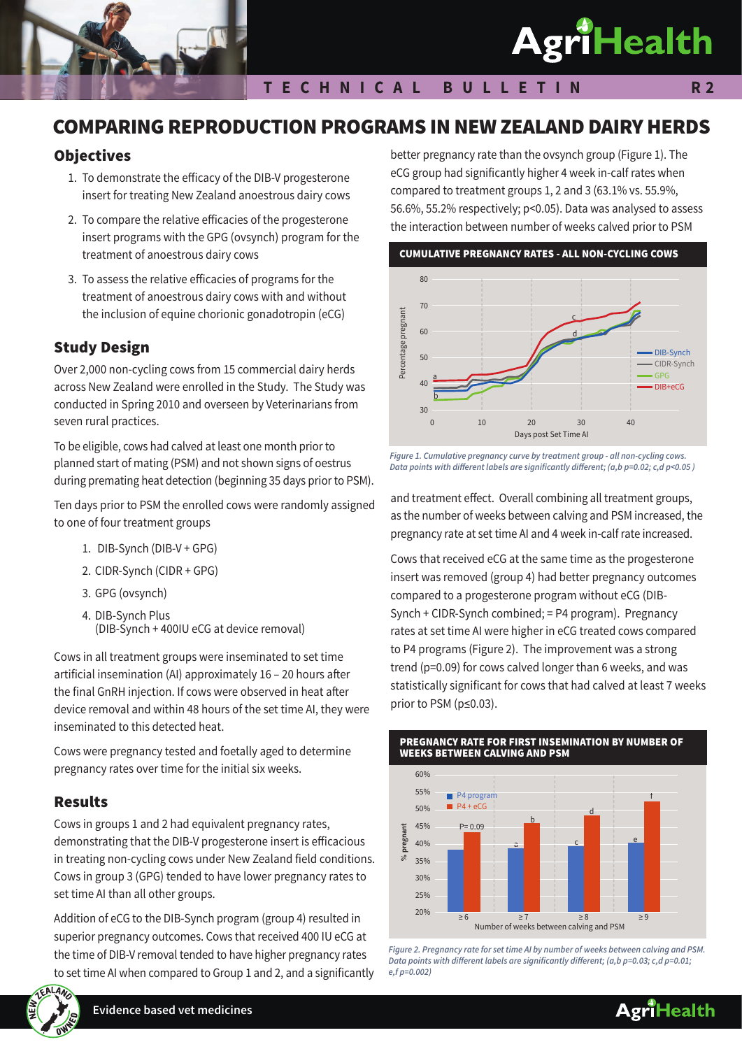# **AgriHealth**

## COMPARING REPRODUCTION PROGRAMS IN NEW ZEALAND DAIRY HERDS

#### **Objectives**

- 1. To demonstrate the efficacy of the DIB-V progesterone insert for treating New Zealand anoestrous dairy cows
- 2. To compare the relative efficacies of the progesterone insert programs with the GPG (ovsynch) program for the treatment of anoestrous dairy cows
- 3. To assess the relative efficacies of programs for the treatment of anoestrous dairy cows with and without the inclusion of equine chorionic gonadotropin (eCG)

#### Study Design

Over 2,000 non-cycling cows from 15 commercial dairy herds across New Zealand were enrolled in the Study. The Study was conducted in Spring 2010 and overseen by Veterinarians from seven rural practices.

To be eligible, cows had calved at least one month prior to planned start of mating (PSM) and not shown signs of oestrus during premating heat detection (beginning 35 days prior to PSM).

Ten days prior to PSM the enrolled cows were randomly assigned to one of four treatment groups

- 1. DIB-Synch (DIB-V + GPG)
- 2. CIDR-Synch (CIDR + GPG)
- 3. GPG (ovsynch)
- 4. DIB-Synch Plus (DIB-Synch + 400IU eCG at device removal)

Cows in all treatment groups were inseminated to set time artificial insemination (AI) approximately 16 – 20 hours after the final GnRH injection. If cows were observed in heat after device removal and within 48 hours of the set time AI, they were inseminated to this detected heat.

Cows were pregnancy tested and foetally aged to determine pregnancy rates over time for the initial six weeks.

#### Results

Cows in groups 1 and 2 had equivalent pregnancy rates, demonstrating that the DIB-V progesterone insert is efficacious in treating non-cycling cows under New Zealand field conditions. Cows in group 3 (GPG) tended to have lower pregnancy rates to set time AI than all other groups.

Addition of eCG to the DIB-Synch program (group 4) resulted in superior pregnancy outcomes. Cows that received 400 IU eCG at the time of DIB-V removal tended to have higher pregnancy rates to set time AI when compared to Group 1 and 2, and a significantly



**Evidence based vet medicines**

better pregnancy rate than the ovsynch group (Figure 1). The eCG group had significantly higher 4 week in-calf rates when compared to treatment groups 1, 2 and 3 (63.1% vs. 55.9%, 56.6%, 55.2% respectively; p<0.05). Data was analysed to assess the interaction between number of weeks calved prior to PSM



*Figure 1. Cumulative pregnancy curve by treatment group - all non-cycling cows. Data points with different labels are significantly different; (a,b p=0.02; c,d p<0.05 )*

and treatment effect. Overall combining all treatment groups, as the number of weeks between calving and PSM increased, the pregnancy rate at set time AI and 4 week in-calf rate increased.

Cows that received eCG at the same time as the progesterone insert was removed (group 4) had better pregnancy outcomes compared to a progesterone program without eCG (DIB-Synch + CIDR-Synch combined; = P4 program). Pregnancy rates at set time AI were higher in eCG treated cows compared to P4 programs (Figure 2). The improvement was a strong trend (p=0.09) for cows calved longer than 6 weeks, and was statistically significant for cows that had calved at least 7 weeks prior to PSM (p≤0.03).



*Figure 2. Pregnancy rate for set time AI by number of weeks between calving and PSM. Data points with different labels are significantly different; (a,b p=0.03; c,d p=0.01; e,f p=0.002)*